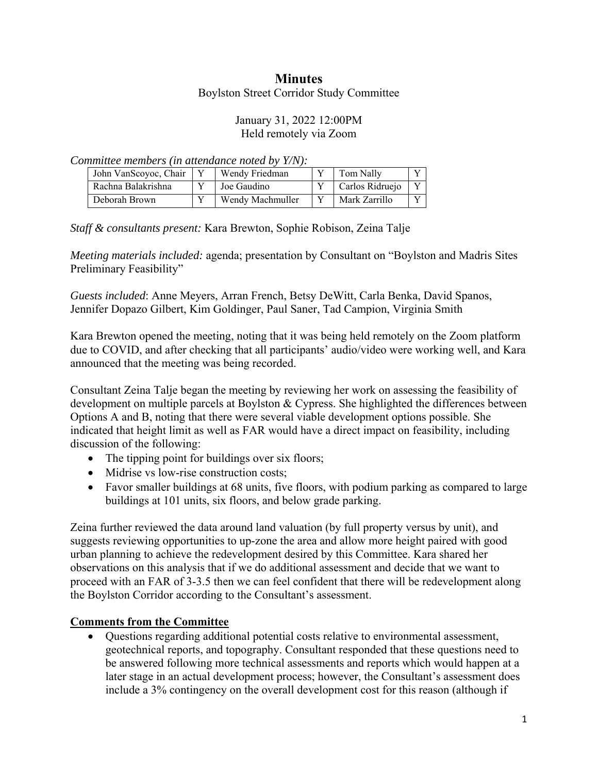# **Minutes**

Boylston Street Corridor Study Committee

## January 31, 2022 12:00PM Held remotely via Zoom

*Committee members (in attendance noted by Y/N):* 

| John VanScoyoc, Chair | Wendy Friedman   | Tom Nally       |  |
|-----------------------|------------------|-----------------|--|
| Rachna Balakrishna    | Joe Gaudino      | Carlos Ridruejo |  |
| Deborah Brown         | Wendy Machmuller | Mark Zarrillo   |  |

*Staff & consultants present:* Kara Brewton, Sophie Robison, Zeina Talje

*Meeting materials included:* agenda; presentation by Consultant on "Boylston and Madris Sites Preliminary Feasibility"

*Guests included*: Anne Meyers, Arran French, Betsy DeWitt, Carla Benka, David Spanos, Jennifer Dopazo Gilbert, Kim Goldinger, Paul Saner, Tad Campion, Virginia Smith

Kara Brewton opened the meeting, noting that it was being held remotely on the Zoom platform due to COVID, and after checking that all participants' audio/video were working well, and Kara announced that the meeting was being recorded.

Consultant Zeina Talje began the meeting by reviewing her work on assessing the feasibility of development on multiple parcels at Boylston & Cypress. She highlighted the differences between Options A and B, noting that there were several viable development options possible. She indicated that height limit as well as FAR would have a direct impact on feasibility, including discussion of the following:

- The tipping point for buildings over six floors;
- Midrise vs low-rise construction costs:
- Favor smaller buildings at 68 units, five floors, with podium parking as compared to large buildings at 101 units, six floors, and below grade parking.

Zeina further reviewed the data around land valuation (by full property versus by unit), and suggests reviewing opportunities to up-zone the area and allow more height paired with good urban planning to achieve the redevelopment desired by this Committee. Kara shared her observations on this analysis that if we do additional assessment and decide that we want to proceed with an FAR of 3-3.5 then we can feel confident that there will be redevelopment along the Boylston Corridor according to the Consultant's assessment.

## **Comments from the Committee**

 Questions regarding additional potential costs relative to environmental assessment, geotechnical reports, and topography. Consultant responded that these questions need to be answered following more technical assessments and reports which would happen at a later stage in an actual development process; however, the Consultant's assessment does include a 3% contingency on the overall development cost for this reason (although if